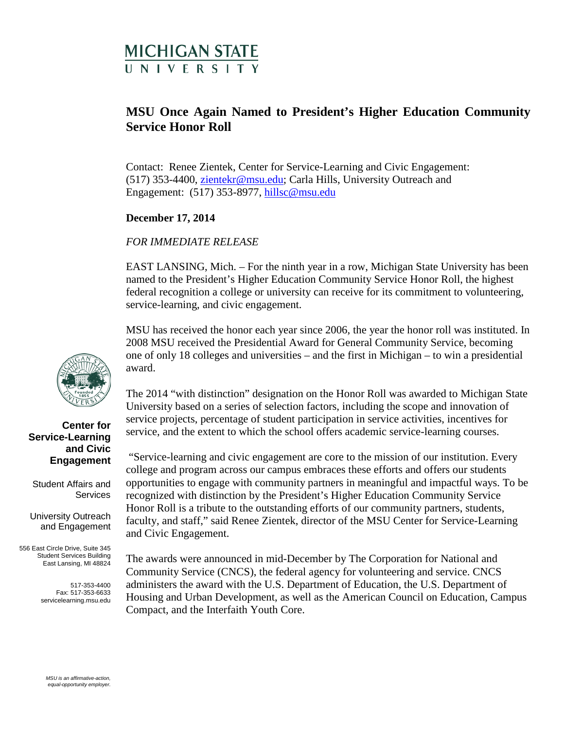# **MICHIGAN STATE IN IVERSITY**

# **MSU Once Again Named to President's Higher Education Community Service Honor Roll**

Contact: Renee Zientek, Center for Service-Learning and Civic Engagement: (517) 353-4400, [zientekr@msu.edu;](mailto:zientekr@msu.edu) Carla Hills, University Outreach and Engagement: (517) 353-8977, [hillsc@msu.edu](mailto:hillsc@msu.edu)

## **December 17, 2014**

### *FOR IMMEDIATE RELEASE*

EAST LANSING, Mich. – For the ninth year in a row, Michigan State University has been named to the President's Higher Education Community Service Honor Roll, the highest federal recognition a college or university can receive for its commitment to volunteering, service-learning, and civic engagement.

MSU has received the honor each year since 2006, the year the honor roll was instituted. In 2008 MSU received the Presidential Award for General Community Service, becoming one of only 18 colleges and universities – and the first in Michigan – to win a presidential award.

The 2014 "with distinction" designation on the Honor Roll was awarded to Michigan State University based on a series of selection factors, including the scope and innovation of service projects, percentage of student participation in service activities, incentives for service, and the extent to which the school offers academic service-learning courses.

"Service-learning and civic engagement are core to the mission of our institution. Every college and program across our campus embraces these efforts and offers our students opportunities to engage with community partners in meaningful and impactful ways. To be recognized with distinction by the President's Higher Education Community Service Honor Roll is a tribute to the outstanding efforts of our community partners, students, faculty, and staff," said Renee Zientek, director of the MSU Center for Service-Learning and Civic Engagement.

The awards were announced in mid-December by The Corporation for National and Community Service (CNCS), the federal agency for volunteering and service. CNCS administers the award with the U.S. Department of Education, the U.S. Department of Housing and Urban Development, as well as the American Council on Education, Campus Compact, and the Interfaith Youth Core.



#### **Center for Service-Learning and Civic Engagement**

Student Affairs and **Services** 

University Outreach and Engagement

556 East Circle Drive, Suite 345 Student Services Building East Lansing, MI 48824

> 517-353-4400 Fax: 517-353-6633 servicelearning.msu.edu